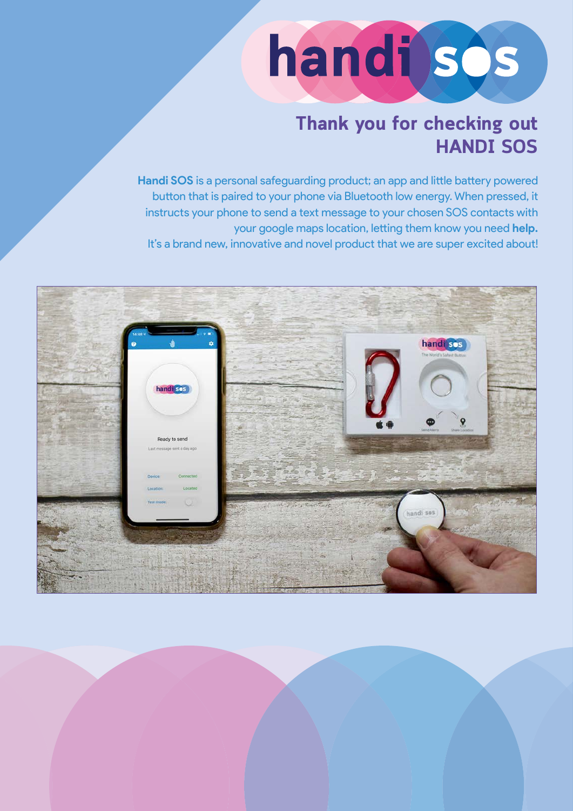

### **Thank you for checking out HANDI SOS**

**Handi SOS** is a personal safeguarding product; an app and little battery powered button that is paired to your phone via Bluetooth low energy. When pressed, it instructs your phone to send a text message to your chosen SOS contacts with your google maps location, letting them know you need **help.** It's a brand new, innovative and novel product that we are super excited about!

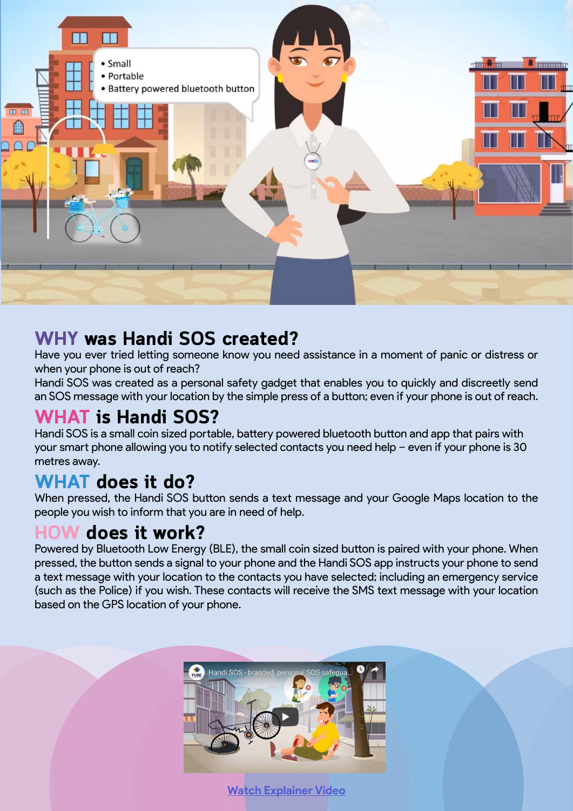

#### **WHY was Handi SOS created?**

Have you ever tried letting someone know you need assistance in a moment of panic or distress or when your phone is out of reach?

Handi SOS was created as a personal safety gadget that enables you to quickly and discreetly send an SOS message with your location by the simple press of a button; even if your phone is out of reach.

### **WHAT is Handi SOS?**

Handi SOS is a small coin sized portable, battery powered bluetooth button and app that pairs with your smart phone allowing you to notify selected contacts you need help – even if your phone is 30 metres away.

### **WHAT does it do?**

When pressed, the Handi SOS button sends a text message and your Google Maps location to the people you wish to inform that you are in need of help.

### **HOW does it work?**

Powered by Bluetooth Low Energy (BLE), the small coin sized button is paired with your phone. When pressed, the button sends a signal to your phone and the Handi SOS app instructs your phone to send a text message with your location to the contacts you have selected; including an emergency service (such as the Police) if you wish. These contacts will receive the SMS text message with your location based on the GPS location of your phone.



**[Watch Explainer Video](https://www.youtube.com/watch?v=izmnn_rd2fU)**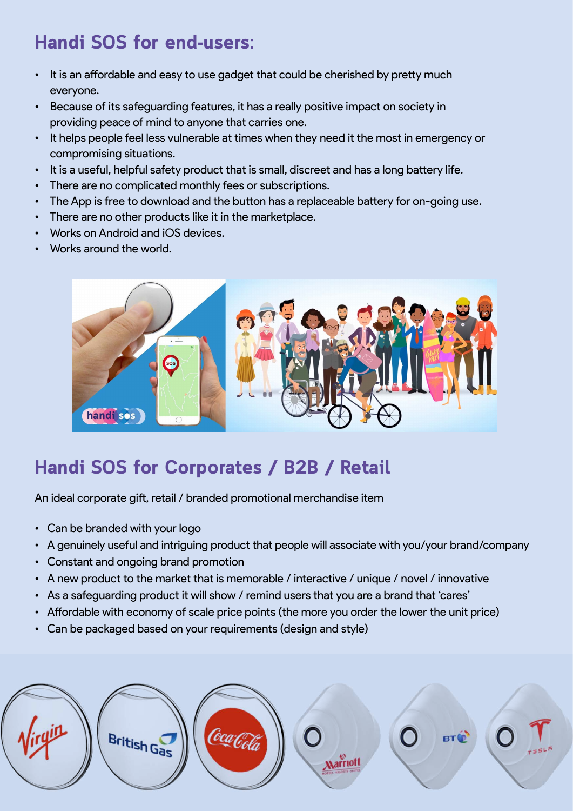# **Handi SOS for end-users:**

- It is an affordable and easy to use gadget that could be cherished by pretty much everyone.
- Because of its safeguarding features, it has a really positive impact on society in providing peace of mind to anyone that carries one.
- It helps people feel less vulnerable at times when they need it the most in emergency or compromising situations.
- It is a useful, helpful safety product that is small, discreet and has a long battery life.
- There are no complicated monthly fees or subscriptions.
- The App is free to download and the button has a replaceable battery for on-going use.
- There are no other products like it in the marketplace.
- Works on Android and iOS devices.
- Works around the world.



# **Handi SOS for Corporates / B2B / Retail**

An ideal corporate gift, retail / branded promotional merchandise item

- Can be branded with your logo
- A genuinely useful and intriguing product that people will associate with you/your brand/company
- Constant and ongoing brand promotion
- A new product to the market that is memorable / interactive / unique / novel / innovative
- As a safeguarding product it will show / remind users that you are a brand that 'cares'
- Affordable with economy of scale price points (the more you order the lower the unit price)
- Can be packaged based on your requirements (design and style)

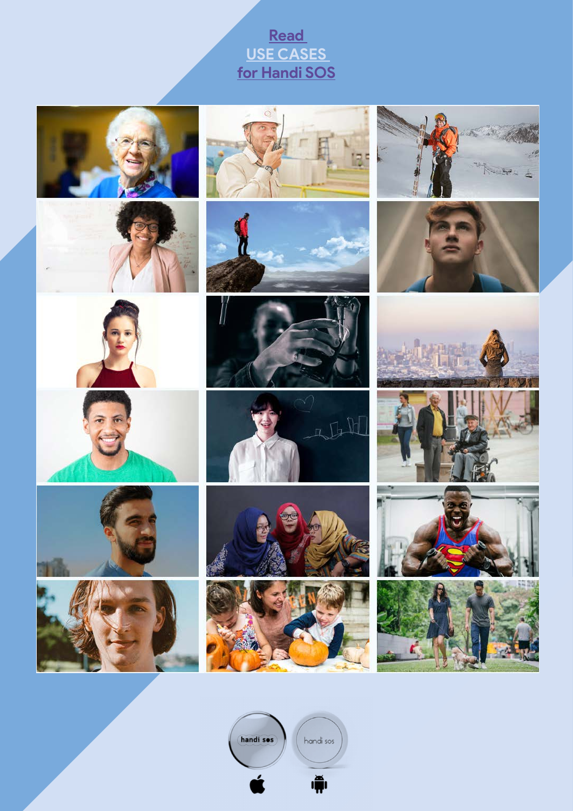#### **[Read](https://www.handisos.co.uk/use-cases/)  [USE CASES](https://www.handisos.co.uk/use-cases/)  [for Handi SOS](https://www.handisos.co.uk/use-cases/)**